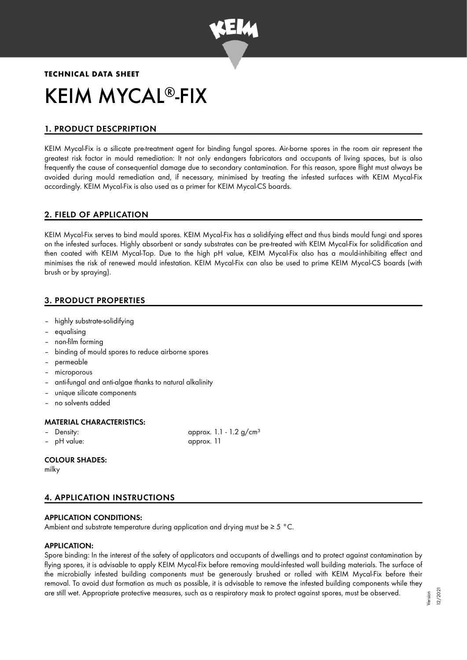

# **TECHNICAL DATA SHEET** KEIM MYCAL®-FIX

# 1. PRODUCT DESCPRIPTION

KEIM Mycal-Fix is a silicate pre-treatment agent for binding fungal spores. Air-borne spores in the room air represent the greatest risk factor in mould remediation: It not only endangers fabricators and occupants of living spaces, but is also frequently the cause of consequential damage due to secondary contamination. For this reason, spore flight must always be avoided during mould remediation and, if necessary, minimised by treating the infested surfaces with KEIM Mycal-Fix accordingly. KEIM Mycal-Fix is also used as a primer for KEIM Mycal-CS boards.

# 2. FIELD OF APPLICATION

KEIM Mycal-Fix serves to bind mould spores. KEIM Mycal-Fix has a solidifying effect and thus binds mould fungi and spores on the infested surfaces. Highly absorbent or sandy substrates can be pre-treated with KEIM Mycal-Fix for solidification and then coated with KEIM Mycal-Top. Due to the high pH value, KEIM Mycal-Fix also has a mould-inhibiting effect and minimises the risk of renewed mould infestation. KEIM Mycal-Fix can also be used to prime KEIM Mycal-CS boards (with brush or by spraying).

# 3. PRODUCT PROPERTIES

- highly substrate-solidifying
- equalising
- non-film forming
- binding of mould spores to reduce airborne spores
- permeable
- microporous
- anti-fungal and anti-algae thanks to natural alkalinity
- unique silicate components
- no solvents added

# MATERIAL CHARACTERISTICS:

- 
- pH value: approx. 11

- Density:  $\alpha$  approx. 1.1 - 1.2 g/cm<sup>3</sup>

# COLOUR SHADES:

milky

# 4. APPLICATION INSTRUCTIONS

# APPLICATION CONDITIONS:

Ambient and substrate temperature during application and drying must be ≥ 5 °C.

# APPLICATION:

Spore binding: In the interest of the safety of applicators and occupants of dwellings and to protect against contamination by flying spores, it is advisable to apply KEIM Mycal-Fix before removing mould-infested wall building materials. The surface of the microbially infested building components must be generously brushed or rolled with KEIM Mycal-Fix before their removal. To avoid dust formation as much as possible, it is advisable to remove the infested building components while they are still wet. Appropriate protective measures, such as a respiratory mask to protect against spores, must be observed.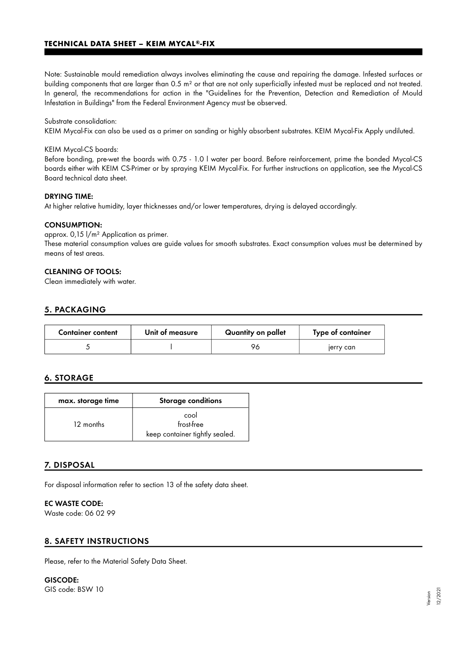## **TECHNICAL DATA SHEET – KEIM MYCAL®-FIX**

Note: Sustainable mould remediation always involves eliminating the cause and repairing the damage. Infested surfaces or building components that are larger than 0.5 m² or that are not only superficially infested must be replaced and not treated. In general, the recommendations for action in the "Guidelines for the Prevention, Detection and Remediation of Mould Infestation in Buildings" from the Federal Environment Agency must be observed.

#### Substrate consolidation:

KEIM Mycal-Fix can also be used as a primer on sanding or highly absorbent substrates. KEIM Mycal-Fix Apply undiluted.

#### KEIM Mycal-CS boards:

Before bonding, pre-wet the boards with 0.75 - 1.0 l water per board. Before reinforcement, prime the bonded Mycal-CS boards either with KEIM CS-Primer or by spraying KEIM Mycal-Fix. For further instructions on application, see the Mycal-CS Board technical data sheet.

#### DRYING TIME:

At higher relative humidity, layer thicknesses and/or lower temperatures, drying is delayed accordingly.

#### CONSUMPTION:

approx. 0,15 l/m² Application as primer. These material consumption values are guide values for smooth substrates. Exact consumption values must be determined by means of test areas.

#### CLEANING OF TOOLS:

Clean immediately with water.

# 5. PACKAGING

| <b>Container content</b> | Unit of measure | Quantity on pallet | Type of container |
|--------------------------|-----------------|--------------------|-------------------|
|                          |                 | 96                 | jerry can         |

# 6. STORAGE

| max. storage time | <b>Storage conditions</b>                            |  |
|-------------------|------------------------------------------------------|--|
| 12 months         | cool<br>frost-free<br>keep container tightly sealed. |  |

# 7. DISPOSAL

For disposal information refer to section 13 of the safety data sheet.

# EC WASTE CODE:

Waste code: 06 02 99

# 8. SAFETY INSTRUCTIONS

Please, refer to the Material Safety Data Sheet.

GISCODE: GIS code: BSW 10